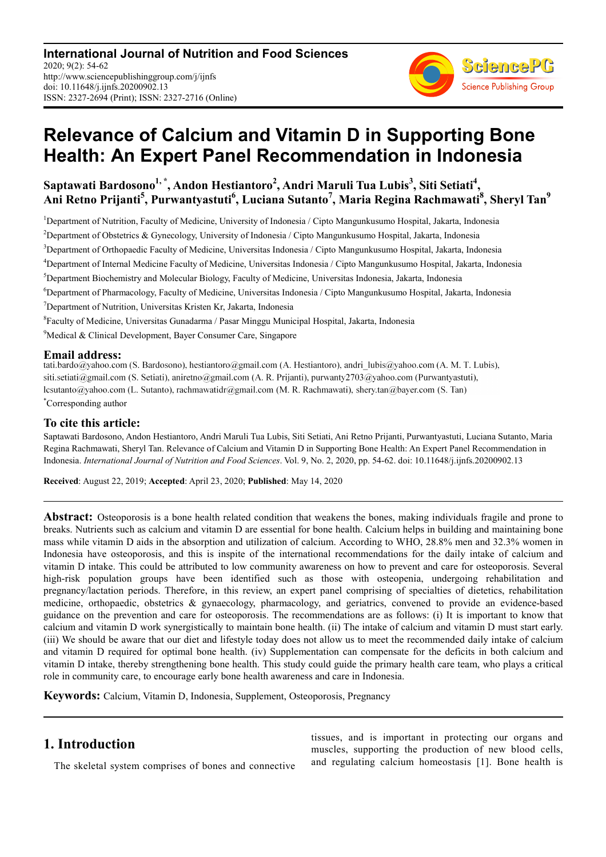

# **Relevance of Calcium and Vitamin D in Supporting Bone Health: An Expert Panel Recommendation in Indonesia**

# **Saptawati Bardosono1, \*, Andon Hestiantoro<sup>2</sup> , Andri Maruli Tua Lubis<sup>3</sup> , Siti Setiati<sup>4</sup> , Ani Retno Prijanti<sup>5</sup> , Purwantyastuti<sup>6</sup> , Luciana Sutanto<sup>7</sup> , Maria Regina Rachmawati<sup>8</sup> , Sheryl Tan<sup>9</sup>**

<sup>1</sup>Department of Nutrition, Faculty of Medicine, University of Indonesia / Cipto Mangunkusumo Hospital, Jakarta, Indonesia <sup>2</sup>Department of Obstetrics & Gynecology, University of Indonesia / Cipto Mangunkusumo Hospital, Jakarta, Indonesia <sup>3</sup>Department of Orthopaedic Faculty of Medicine, Universitas Indonesia / Cipto Mangunkusumo Hospital, Jakarta, Indonesia <sup>4</sup>Department of Internal Medicine Faculty of Medicine, Universitas Indonesia / Cipto Mangunkusumo Hospital, Jakarta, Indonesia <sup>5</sup>Department Biochemistry and Molecular Biology, Faculty of Medicine, Universitas Indonesia, Jakarta, Indonesia <sup>6</sup>Department of Pharmacology, Faculty of Medicine, Universitas Indonesia / Cipto Mangunkusumo Hospital, Jakarta, Indonesia <sup>7</sup>Department of Nutrition, Universitas Kristen Kr, Jakarta, Indonesia 8 Faculty of Medicine, Universitas Gunadarma / Pasar Minggu Municipal Hospital, Jakarta, Indonesia <sup>9</sup>Medical & Clinical Development, Bayer Consumer Care, Singapore

**Email address:**<br>tati.bardo@yahoo.com (S. Bardosono), hestiantoro@gmail.com (A. Hestiantoro), andri lubis@yahoo.com (A. M. T. Lubis), siti.setiati@gmail.com (S. Setiati), aniretno@gmail.com (A. R. Prijanti), purwanty2703@yahoo.com (Purwantyastuti), lcsutanto@yahoo.com (L. Sutanto), rachmawatidr@gmail.com (M. R. Rachmawati), shery.tan@bayer.com (S. Tan) \*Corresponding author

### **To cite this article:**

Saptawati Bardosono, Andon Hestiantoro, Andri Maruli Tua Lubis, Siti Setiati, Ani Retno Prijanti, Purwantyastuti, Luciana Sutanto, Maria Regina Rachmawati, Sheryl Tan. Relevance of Calcium and Vitamin D in Supporting Bone Health: An Expert Panel Recommendation in Indonesia. *International Journal of Nutrition and Food Sciences*. Vol. 9, No. 2, 2020, pp. 54-62. doi: 10.11648/j.ijnfs.20200902.13

**Received**: August 22, 2019; **Accepted**: April 23, 2020; **Published**: May 14, 2020

**Abstract:** Osteoporosis is a bone health related condition that weakens the bones, making individuals fragile and prone to breaks. Nutrients such as calcium and vitamin D are essential for bone health. Calcium helps in building and maintaining bone mass while vitamin D aids in the absorption and utilization of calcium. According to WHO, 28.8% men and 32.3% women in Indonesia have osteoporosis, and this is inspite of the international recommendations for the daily intake of calcium and vitamin D intake. This could be attributed to low community awareness on how to prevent and care for osteoporosis. Several high-risk population groups have been identified such as those with osteopenia, undergoing rehabilitation and pregnancy/lactation periods. Therefore, in this review, an expert panel comprising of specialties of dietetics, rehabilitation medicine, orthopaedic, obstetrics & gynaecology, pharmacology, and geriatrics, convened to provide an evidence-based guidance on the prevention and care for osteoporosis. The recommendations are as follows: (i) It is important to know that calcium and vitamin D work synergistically to maintain bone health. (ii) The intake of calcium and vitamin D must start early. (iii) We should be aware that our diet and lifestyle today does not allow us to meet the recommended daily intake of calcium and vitamin D required for optimal bone health. (iv) Supplementation can compensate for the deficits in both calcium and vitamin D intake, thereby strengthening bone health. This study could guide the primary health care team, who plays a critical role in community care, to encourage early bone health awareness and care in Indonesia.

**Keywords:** Calcium, Vitamin D, Indonesia, Supplement, Osteoporosis, Pregnancy

# **1. Introduction**

The skeletal system comprises of bones and connective

tissues, and is important in protecting our organs and muscles, supporting the production of new blood cells, and regulating calcium homeostasis [1]. Bone health is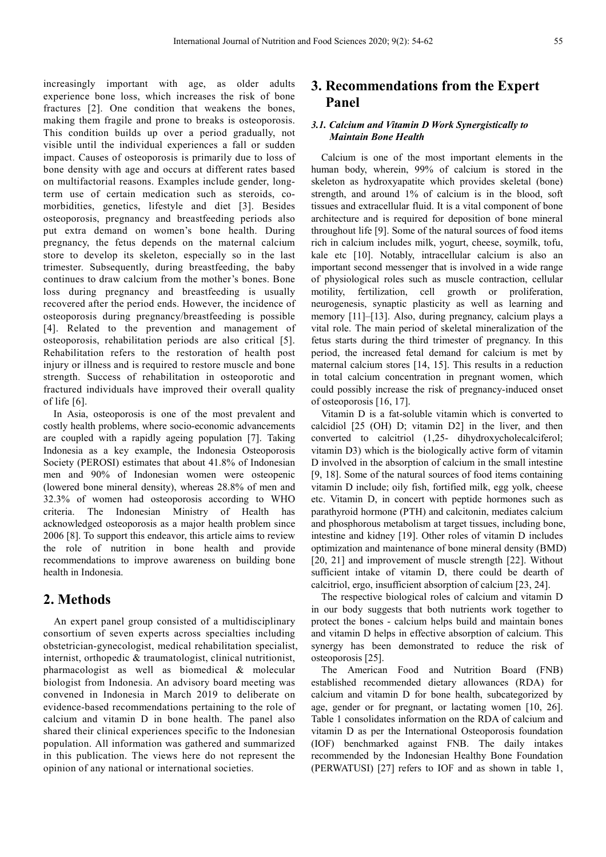increasingly important with age, as older adults experience bone loss, which increases the risk of bone fractures [2]. One condition that weakens the bones, making them fragile and prone to breaks is osteoporosis. This condition builds up over a period gradually, not visible until the individual experiences a fall or sudden impact. Causes of osteoporosis is primarily due to loss of bone density with age and occurs at different rates based on multifactorial reasons. Examples include gender, longterm use of certain medication such as steroids, comorbidities, genetics, lifestyle and diet [3]. Besides osteoporosis, pregnancy and breastfeeding periods also put extra demand on women's bone health. During pregnancy, the fetus depends on the maternal calcium store to develop its skeleton, especially so in the last trimester. Subsequently, during breastfeeding, the baby continues to draw calcium from the mother's bones. Bone loss during pregnancy and breastfeeding is usually recovered after the period ends. However, the incidence of osteoporosis during pregnancy/breastfeeding is possible [4]. Related to the prevention and management of osteoporosis, rehabilitation periods are also critical [5]. Rehabilitation refers to the restoration of health post injury or illness and is required to restore muscle and bone strength. Success of rehabilitation in osteoporotic and fractured individuals have improved their overall quality of life [6].

In Asia, osteoporosis is one of the most prevalent and costly health problems, where socio-economic advancements are coupled with a rapidly ageing population [7]. Taking Indonesia as a key example, the Indonesia Osteoporosis Society (PEROSI) estimates that about 41.8% of Indonesian men and 90% of Indonesian women were osteopenic (lowered bone mineral density), whereas 28.8% of men and 32.3% of women had osteoporosis according to WHO criteria. The Indonesian Ministry of Health has acknowledged osteoporosis as a major health problem since 2006 [8]. To support this endeavor, this article aims to review the role of nutrition in bone health and provide recommendations to improve awareness on building bone health in Indonesia.

# **2. Methods**

An expert panel group consisted of a multidisciplinary consortium of seven experts across specialties including obstetrician-gynecologist, medical rehabilitation specialist, internist, orthopedic & traumatologist, clinical nutritionist, pharmacologist as well as biomedical & molecular biologist from Indonesia. An advisory board meeting was convened in Indonesia in March 2019 to deliberate on evidence-based recommendations pertaining to the role of calcium and vitamin D in bone health. The panel also shared their clinical experiences specific to the Indonesian population. All information was gathered and summarized in this publication. The views here do not represent the opinion of any national or international societies.

# **3. Recommendations from the Expert Panel**

#### *3.1. Calcium and Vitamin D Work Synergistically to Maintain Bone Health*

Calcium is one of the most important elements in the human body, wherein, 99% of calcium is stored in the skeleton as hydroxyapatite which provides skeletal (bone) strength, and around 1% of calcium is in the blood, soft tissues and extracellular fluid. It is a vital component of bone architecture and is required for deposition of bone mineral throughout life [9]. Some of the natural sources of food items rich in calcium includes milk, yogurt, cheese, soymilk, tofu, kale etc [10]. Notably, intracellular calcium is also an important second messenger that is involved in a wide range of physiological roles such as muscle contraction, cellular motility, fertilization, cell growth or proliferation, neurogenesis, synaptic plasticity as well as learning and memory [11]–[13]. Also, during pregnancy, calcium plays a vital role. The main period of skeletal mineralization of the fetus starts during the third trimester of pregnancy. In this period, the increased fetal demand for calcium is met by maternal calcium stores [14, 15]. This results in a reduction in total calcium concentration in pregnant women, which could possibly increase the risk of pregnancy-induced onset of osteoporosis [16, 17].

Vitamin D is a fat-soluble vitamin which is converted to calcidiol [25 (OH) D; vitamin D2] in the liver, and then converted to calcitriol (1,25- dihydroxycholecalciferol; vitamin D3) which is the biologically active form of vitamin D involved in the absorption of calcium in the small intestine [9, 18]. Some of the natural sources of food items containing vitamin D include; oily fish, fortified milk, egg yolk, cheese etc. Vitamin D, in concert with peptide hormones such as parathyroid hormone (PTH) and calcitonin, mediates calcium and phosphorous metabolism at target tissues, including bone, intestine and kidney [19]. Other roles of vitamin D includes optimization and maintenance of bone mineral density (BMD) [20, 21] and improvement of muscle strength [22]. Without sufficient intake of vitamin D, there could be dearth of calcitriol, ergo, insufficient absorption of calcium [23, 24].

The respective biological roles of calcium and vitamin D in our body suggests that both nutrients work together to protect the bones - calcium helps build and maintain bones and vitamin D helps in effective absorption of calcium. This synergy has been demonstrated to reduce the risk of osteoporosis [25].

The American Food and Nutrition Board (FNB) established recommended dietary allowances (RDA) for calcium and vitamin D for bone health, subcategorized by age, gender or for pregnant, or lactating women [10, 26]. Table 1 consolidates information on the RDA of calcium and vitamin D as per the International Osteoporosis foundation (IOF) benchmarked against FNB. The daily intakes recommended by the Indonesian Healthy Bone Foundation (PERWATUSI) [27] refers to IOF and as shown in table 1,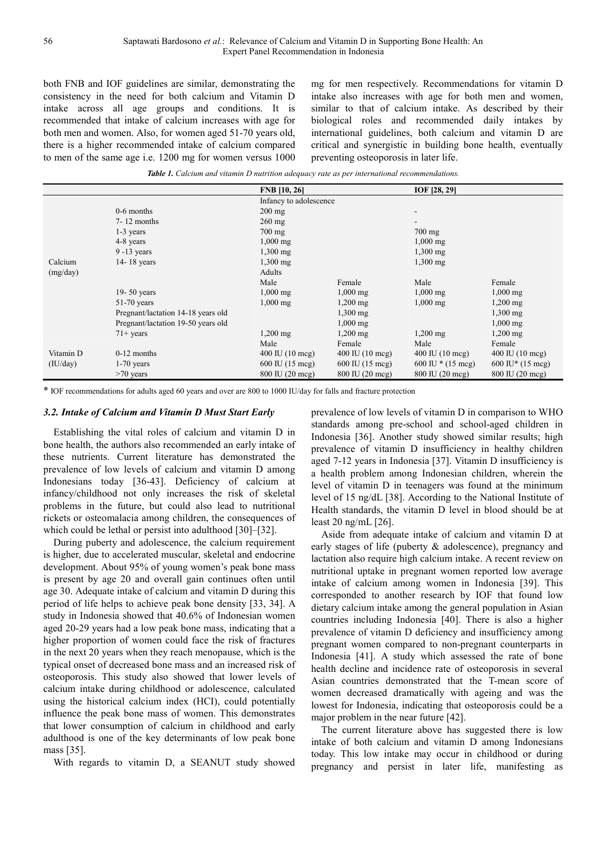both FNB and IOF guidelines are similar, demonstrating the consistency in the need for both calcium and Vitamin D intake across all age groups and conditions. It is recommended that intake of calcium increases with age for both men and women. Also, for women aged 51-70 years old, there is a higher recommended intake of calcium compared to men of the same age i.e. 1200 mg for women versus 1000

mg for men respectively. Recommendations for vitamin D intake also increases with age for both men and women, similar to that of calcium intake. As described by their biological roles and recommended daily intakes by international guidelines, both calcium and vitamin D are critical and synergistic in building bone health, eventually preventing osteoporosis in later life.

*Table 1. Calcium and vitamin D nutrition adequacy rate as per international recommendations.* 

|           |                                    | <b>FNB</b> [10, 26]               |                                   | IOF [28, 29]                      |                                     |  |
|-----------|------------------------------------|-----------------------------------|-----------------------------------|-----------------------------------|-------------------------------------|--|
|           |                                    |                                   | Infancy to adolescence            |                                   |                                     |  |
|           | $0-6$ months                       | $200 \text{ mg}$                  |                                   | -                                 |                                     |  |
|           | $7 - 12$ months                    | $260$ mg                          |                                   |                                   |                                     |  |
|           | $1-3$ years                        | $700 \text{ mg}$                  |                                   | $700$ mg                          |                                     |  |
|           | 4-8 years                          | $1,000 \,\mathrm{mg}$             |                                   | $1,000 \,\mathrm{mg}$             |                                     |  |
|           | $9 - 13$ years                     | $1,300$ mg                        |                                   | $1,300$ mg                        |                                     |  |
| Calcium   | $14 - 18$ years                    | $1,300 \text{ mg}$                |                                   | $1,300$ mg                        |                                     |  |
| (mg/day)  |                                    | Adults                            |                                   |                                   |                                     |  |
|           |                                    | Male                              | Female                            | Male                              | Female                              |  |
|           | $19 - 50$ years                    | $1,000 \,\mathrm{mg}$             | $1,000 \text{ mg}$                | $1,000$ mg                        | $1,000$ mg                          |  |
|           | $51-70$ years                      | $1,000 \text{ mg}$                | $1,200 \,\mathrm{mg}$             | $1,000 \,\mathrm{mg}$             | $1,200$ mg                          |  |
|           | Pregnant/lactation 14-18 years old |                                   | $1,300$ mg                        |                                   | $1,300$ mg                          |  |
|           | Pregnant/lactation 19-50 years old |                                   | $1,000 \text{ mg}$                |                                   | $1,000$ mg                          |  |
|           | $71+$ years                        | $1,200 \,\mathrm{mg}$             | $1,200$ mg                        | $1,200$ mg                        | $1,200$ mg                          |  |
|           |                                    | Male                              | Female                            | Male                              | Female                              |  |
| Vitamin D | $0-12$ months                      | $400 \text{ IU} (10 \text{ mcg})$ | $400 \text{ IU} (10 \text{ mcg})$ | $400 \text{ IU} (10 \text{ mcg})$ | $400 \text{ IU} (10 \text{ mcg})$   |  |
| (IU/day)  | $1-70$ years                       | 600 IU (15 mcg)                   | $600 \text{ IU}$ (15 mcg)         | 600 IU $*(15 \text{ mcg})$        | $600 \text{ IU}^* (15 \text{ mcg})$ |  |
|           | $>70$ years                        | 800 IU (20 mcg)                   | 800 IU (20 mcg)                   | 800 IU (20 mcg)                   | 800 IU (20 mcg)                     |  |

\* IOF recommendations for adults aged 60 years and over are 800 to 1000 IU/day for falls and fracture protection

#### *3.2. Intake of Calcium and Vitamin D Must Start Early*

Establishing the vital roles of calcium and vitamin D in bone health, the authors also recommended an early intake of these nutrients. Current literature has demonstrated the prevalence of low levels of calcium and vitamin D among Indonesians today [36-43]. Deficiency of calcium at infancy/childhood not only increases the risk of skeletal problems in the future, but could also lead to nutritional rickets or osteomalacia among children, the consequences of which could be lethal or persist into adulthood [30]–[32].

During puberty and adolescence, the calcium requirement is higher, due to accelerated muscular, skeletal and endocrine development. About 95% of young women's peak bone mass is present by age 20 and overall gain continues often until age 30. Adequate intake of calcium and vitamin D during this period of life helps to achieve peak bone density [33, 34]. A study in Indonesia showed that 40.6% of Indonesian women aged 20-29 years had a low peak bone mass, indicating that a higher proportion of women could face the risk of fractures in the next 20 years when they reach menopause, which is the typical onset of decreased bone mass and an increased risk of osteoporosis. This study also showed that lower levels of calcium intake during childhood or adolescence, calculated using the historical calcium index (HCI), could potentially influence the peak bone mass of women. This demonstrates that lower consumption of calcium in childhood and early adulthood is one of the key determinants of low peak bone mass [35].

With regards to vitamin D, a SEANUT study showed

prevalence of low levels of vitamin D in comparison to WHO standards among pre-school and school-aged children in Indonesia [36]. Another study showed similar results; high prevalence of vitamin D insufficiency in healthy children aged 7-12 years in Indonesia [37]. Vitamin D insufficiency is a health problem among Indonesian children, wherein the level of vitamin D in teenagers was found at the minimum level of 15 ng/dL [38]. According to the National Institute of Health standards, the vitamin D level in blood should be at least 20 ng/mL [26].

Aside from adequate intake of calcium and vitamin D at early stages of life (puberty & adolescence), pregnancy and lactation also require high calcium intake. A recent review on nutritional uptake in pregnant women reported low average intake of calcium among women in Indonesia [39]. This corresponded to another research by IOF that found low dietary calcium intake among the general population in Asian countries including Indonesia [40]. There is also a higher prevalence of vitamin D deficiency and insufficiency among pregnant women compared to non-pregnant counterparts in Indonesia [41]. A study which assessed the rate of bone health decline and incidence rate of osteoporosis in several Asian countries demonstrated that the T-mean score of women decreased dramatically with ageing and was the lowest for Indonesia, indicating that osteoporosis could be a major problem in the near future [42].

The current literature above has suggested there is low intake of both calcium and vitamin D among Indonesians today. This low intake may occur in childhood or during pregnancy and persist in later life, manifesting as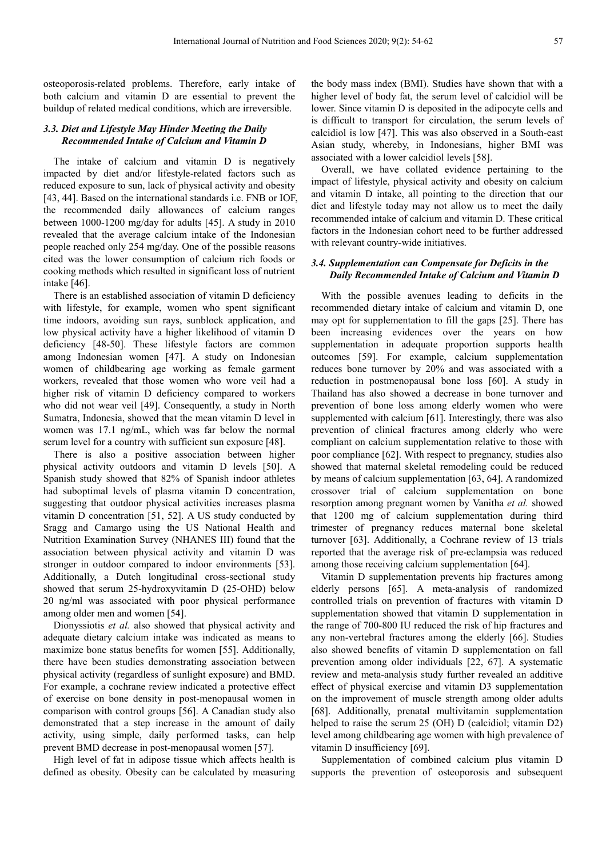osteoporosis-related problems. Therefore, early intake of both calcium and vitamin D are essential to prevent the buildup of related medical conditions, which are irreversible.

#### *3.3. Diet and Lifestyle May Hinder Meeting the Daily Recommended Intake of Calcium and Vitamin D*

The intake of calcium and vitamin D is negatively impacted by diet and/or lifestyle-related factors such as reduced exposure to sun, lack of physical activity and obesity [43, 44]. Based on the international standards i.e. FNB or IOF, the recommended daily allowances of calcium ranges between 1000-1200 mg/day for adults [45]. A study in 2010 revealed that the average calcium intake of the Indonesian people reached only 254 mg/day. One of the possible reasons cited was the lower consumption of calcium rich foods or cooking methods which resulted in significant loss of nutrient intake [46].

There is an established association of vitamin D deficiency with lifestyle, for example, women who spent significant time indoors, avoiding sun rays, sunblock application, and low physical activity have a higher likelihood of vitamin D deficiency [48-50]. These lifestyle factors are common among Indonesian women [47]. A study on Indonesian women of childbearing age working as female garment workers, revealed that those women who wore veil had a higher risk of vitamin D deficiency compared to workers who did not wear veil [49]. Consequently, a study in North Sumatra, Indonesia, showed that the mean vitamin D level in women was 17.1 ng/mL, which was far below the normal serum level for a country with sufficient sun exposure [48].

There is also a positive association between higher physical activity outdoors and vitamin D levels [50]. A Spanish study showed that 82% of Spanish indoor athletes had suboptimal levels of plasma vitamin D concentration, suggesting that outdoor physical activities increases plasma vitamin D concentration [51, 52]. A US study conducted by Sragg and Camargo using the US National Health and Nutrition Examination Survey (NHANES III) found that the association between physical activity and vitamin D was stronger in outdoor compared to indoor environments [53]. Additionally, a Dutch longitudinal cross-sectional study showed that serum 25-hydroxyvitamin D (25-OHD) below 20 ng/ml was associated with poor physical performance among older men and women [54].

Dionyssiotis *et al.* also showed that physical activity and adequate dietary calcium intake was indicated as means to maximize bone status benefits for women [55]. Additionally, there have been studies demonstrating association between physical activity (regardless of sunlight exposure) and BMD. For example, a cochrane review indicated a protective effect of exercise on bone density in post-menopausal women in comparison with control groups [56]. A Canadian study also demonstrated that a step increase in the amount of daily activity, using simple, daily performed tasks, can help prevent BMD decrease in post-menopausal women [57].

High level of fat in adipose tissue which affects health is defined as obesity. Obesity can be calculated by measuring the body mass index (BMI). Studies have shown that with a higher level of body fat, the serum level of calcidiol will be lower. Since vitamin D is deposited in the adipocyte cells and is difficult to transport for circulation, the serum levels of calcidiol is low [47]. This was also observed in a South-east Asian study, whereby, in Indonesians, higher BMI was associated with a lower calcidiol levels [58].

Overall, we have collated evidence pertaining to the impact of lifestyle, physical activity and obesity on calcium and vitamin D intake, all pointing to the direction that our diet and lifestyle today may not allow us to meet the daily recommended intake of calcium and vitamin D. These critical factors in the Indonesian cohort need to be further addressed with relevant country-wide initiatives.

#### *3.4. Supplementation can Compensate for Deficits in the Daily Recommended Intake of Calcium and Vitamin D*

With the possible avenues leading to deficits in the recommended dietary intake of calcium and vitamin D, one may opt for supplementation to fill the gaps [25]. There has been increasing evidences over the years on how supplementation in adequate proportion supports health outcomes [59]. For example, calcium supplementation reduces bone turnover by 20% and was associated with a reduction in postmenopausal bone loss [60]. A study in Thailand has also showed a decrease in bone turnover and prevention of bone loss among elderly women who were supplemented with calcium [61]. Interestingly, there was also prevention of clinical fractures among elderly who were compliant on calcium supplementation relative to those with poor compliance [62]. With respect to pregnancy, studies also showed that maternal skeletal remodeling could be reduced by means of calcium supplementation [63, 64]. A randomized crossover trial of calcium supplementation on bone resorption among pregnant women by Vanitha *et al.* showed that 1200 mg of calcium supplementation during third trimester of pregnancy reduces maternal bone skeletal turnover [63]. Additionally, a Cochrane review of 13 trials reported that the average risk of pre-eclampsia was reduced among those receiving calcium supplementation [64].

Vitamin D supplementation prevents hip fractures among elderly persons [65]. A meta-analysis of randomized controlled trials on prevention of fractures with vitamin D supplementation showed that vitamin D supplementation in the range of 700-800 IU reduced the risk of hip fractures and any non-vertebral fractures among the elderly [66]. Studies also showed benefits of vitamin D supplementation on fall prevention among older individuals [22, 67]. A systematic review and meta-analysis study further revealed an additive effect of physical exercise and vitamin D3 supplementation on the improvement of muscle strength among older adults [68]. Additionally, prenatal multivitamin supplementation helped to raise the serum 25 (OH) D (calcidiol; vitamin D2) level among childbearing age women with high prevalence of vitamin D insufficiency [69].

Supplementation of combined calcium plus vitamin D supports the prevention of osteoporosis and subsequent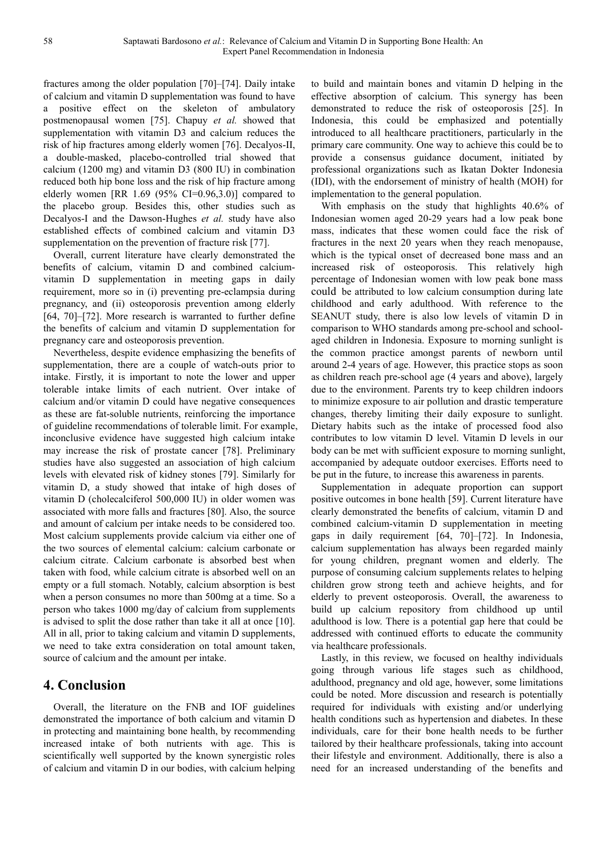fractures among the older population [70]–[74]. Daily intake of calcium and vitamin D supplementation was found to have a positive effect on the skeleton of ambulatory postmenopausal women [75]. Chapuy *et al.* showed that supplementation with vitamin D3 and calcium reduces the risk of hip fractures among elderly women [76]. Decalyos-II, a double-masked, placebo-controlled trial showed that calcium (1200 mg) and vitamin D3 (800 IU) in combination reduced both hip bone loss and the risk of hip fracture among elderly women [RR  $1.69$  (95% CI=0.96,3.0)] compared to the placebo group. Besides this, other studies such as Decalyos-I and the Dawson-Hughes *et al.* study have also established effects of combined calcium and vitamin D3 supplementation on the prevention of fracture risk [77].

Overall, current literature have clearly demonstrated the benefits of calcium, vitamin D and combined calciumvitamin D supplementation in meeting gaps in daily requirement, more so in (i) preventing pre-eclampsia during pregnancy, and (ii) osteoporosis prevention among elderly [64, 70]–[72]. More research is warranted to further define the benefits of calcium and vitamin D supplementation for pregnancy care and osteoporosis prevention.

Nevertheless, despite evidence emphasizing the benefits of supplementation, there are a couple of watch-outs prior to intake. Firstly, it is important to note the lower and upper tolerable intake limits of each nutrient. Over intake of calcium and/or vitamin D could have negative consequences as these are fat-soluble nutrients, reinforcing the importance of guideline recommendations of tolerable limit. For example, inconclusive evidence have suggested high calcium intake may increase the risk of prostate cancer [78]. Preliminary studies have also suggested an association of high calcium levels with elevated risk of kidney stones [79]. Similarly for vitamin D, a study showed that intake of high doses of vitamin D (cholecalciferol 500,000 IU) in older women was associated with more falls and fractures [80]. Also, the source and amount of calcium per intake needs to be considered too. Most calcium supplements provide calcium via either one of the two sources of elemental calcium: calcium carbonate or calcium citrate. Calcium carbonate is absorbed best when taken with food, while calcium citrate is absorbed well on an empty or a full stomach. Notably, calcium absorption is best when a person consumes no more than 500mg at a time. So a person who takes 1000 mg/day of calcium from supplements is advised to split the dose rather than take it all at once [10]. All in all, prior to taking calcium and vitamin D supplements, we need to take extra consideration on total amount taken, source of calcium and the amount per intake.

# **4. Conclusion**

Overall, the literature on the FNB and IOF guidelines demonstrated the importance of both calcium and vitamin D in protecting and maintaining bone health, by recommending increased intake of both nutrients with age. This is scientifically well supported by the known synergistic roles of calcium and vitamin D in our bodies, with calcium helping to build and maintain bones and vitamin D helping in the effective absorption of calcium. This synergy has been demonstrated to reduce the risk of osteoporosis [25]. In Indonesia, this could be emphasized and potentially introduced to all healthcare practitioners, particularly in the primary care community. One way to achieve this could be to provide a consensus guidance document, initiated by professional organizations such as Ikatan Dokter Indonesia (IDI), with the endorsement of ministry of health (MOH) for implementation to the general population.

With emphasis on the study that highlights 40.6% of Indonesian women aged 20-29 years had a low peak bone mass, indicates that these women could face the risk of fractures in the next 20 years when they reach menopause, which is the typical onset of decreased bone mass and an increased risk of osteoporosis. This relatively high percentage of Indonesian women with low peak bone mass could be attributed to low calcium consumption during late childhood and early adulthood. With reference to the SEANUT study, there is also low levels of vitamin D in comparison to WHO standards among pre-school and schoolaged children in Indonesia. Exposure to morning sunlight is the common practice amongst parents of newborn until around 2-4 years of age. However, this practice stops as soon as children reach pre-school age (4 years and above), largely due to the environment. Parents try to keep children indoors to minimize exposure to air pollution and drastic temperature changes, thereby limiting their daily exposure to sunlight. Dietary habits such as the intake of processed food also contributes to low vitamin D level. Vitamin D levels in our body can be met with sufficient exposure to morning sunlight, accompanied by adequate outdoor exercises. Efforts need to be put in the future, to increase this awareness in parents.

Supplementation in adequate proportion can support positive outcomes in bone health [59]. Current literature have clearly demonstrated the benefits of calcium, vitamin D and combined calcium-vitamin D supplementation in meeting gaps in daily requirement [64, 70]–[72]. In Indonesia, calcium supplementation has always been regarded mainly for young children, pregnant women and elderly. The purpose of consuming calcium supplements relates to helping children grow strong teeth and achieve heights, and for elderly to prevent osteoporosis. Overall, the awareness to build up calcium repository from childhood up until adulthood is low. There is a potential gap here that could be addressed with continued efforts to educate the community via healthcare professionals.

Lastly, in this review, we focused on healthy individuals going through various life stages such as childhood, adulthood, pregnancy and old age, however, some limitations could be noted. More discussion and research is potentially required for individuals with existing and/or underlying health conditions such as hypertension and diabetes. In these individuals, care for their bone health needs to be further tailored by their healthcare professionals, taking into account their lifestyle and environment. Additionally, there is also a need for an increased understanding of the benefits and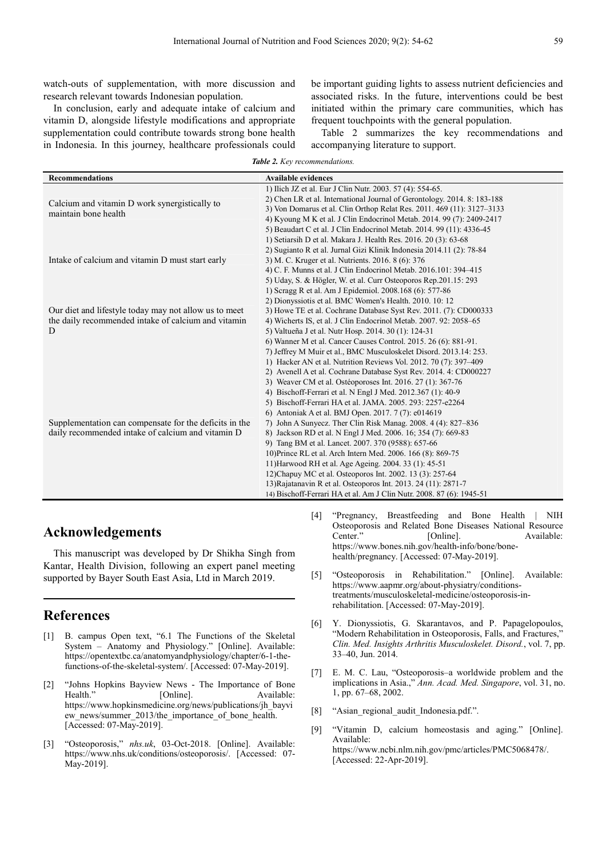watch-outs of supplementation, with more discussion and research relevant towards Indonesian population.

In conclusion, early and adequate intake of calcium and vitamin D, alongside lifestyle modifications and appropriate supplementation could contribute towards strong bone health in Indonesia. In this journey, healthcare professionals could be important guiding lights to assess nutrient deficiencies and associated risks. In the future, interventions could be best initiated within the primary care communities, which has frequent touchpoints with the general population.

Table 2 summarizes the key recommendations and accompanying literature to support.

| <b>Table 2.</b> Key recommendations. |
|--------------------------------------|
|--------------------------------------|

| <b>Recommendations</b>                                 | <b>Available evidences</b>                                               |  |  |
|--------------------------------------------------------|--------------------------------------------------------------------------|--|--|
|                                                        | 1) Ilich JZ et al. Eur J Clin Nutr. 2003. 57 (4): 554-65.                |  |  |
| Calcium and vitamin D work synergistically to          | 2) Chen LR et al. International Journal of Gerontology. 2014. 8: 183-188 |  |  |
| maintain bone health                                   | 3) Von Domarus et al. Clin Orthop Relat Res. 2011. 469 (11): 3127–3133   |  |  |
|                                                        | 4) Kyoung M K et al. J Clin Endocrinol Metab. 2014. 99 (7): 2409-2417    |  |  |
|                                                        | 5) Beaudart C et al. J Clin Endocrinol Metab. 2014. 99 (11): 4336-45     |  |  |
|                                                        | 1) Setiarsih D et al. Makara J. Health Res. 2016. 20 (3): 63-68          |  |  |
|                                                        | 2) Sugianto R et al. Jurnal Gizi Klinik Indonesia 2014.11 (2): 78-84     |  |  |
| Intake of calcium and vitamin D must start early       | 3) M. C. Kruger et al. Nutrients. 2016. 8 (6): 376                       |  |  |
|                                                        | 4) C. F. Munns et al. J Clin Endocrinol Metab. 2016.101: 394–415         |  |  |
|                                                        | 5) Uday, S. & Högler, W. et al. Curr Osteoporos Rep. 201.15: 293         |  |  |
|                                                        | 1) Scragg R et al. Am J Epidemiol. 2008.168 (6): 577-86                  |  |  |
|                                                        | 2) Dionyssiotis et al. BMC Women's Health. 2010. 10: 12                  |  |  |
| Our diet and lifestyle today may not allow us to meet  | 3) Howe TE et al. Cochrane Database Syst Rev. 2011. (7): CD000333        |  |  |
| the daily recommended intake of calcium and vitamin    | 4) Wicherts IS, et al. J Clin Endocrinol Metab. 2007. 92: 2058–65        |  |  |
| D                                                      | 5) Valtueña J et al. Nutr Hosp. 2014. 30 (1): 124-31                     |  |  |
|                                                        | 6) Wanner M et al. Cancer Causes Control. 2015. 26 (6): 881-91.          |  |  |
|                                                        | 7) Jeffrey M Muir et al., BMC Musculoskelet Disord. 2013.14: 253.        |  |  |
|                                                        | 1) Hacker AN et al. Nutrition Reviews Vol. 2012. 70 (7): 397-409         |  |  |
|                                                        | 2) Avenell A et al. Cochrane Database Syst Rev. 2014. 4: CD000227        |  |  |
|                                                        | 3) Weaver CM et al. Ostéoporoses Int. 2016. 27 (1): 367-76               |  |  |
|                                                        | 4) Bischoff-Ferrari et al. N Engl J Med. 2012.367 (1): 40-9              |  |  |
|                                                        | 5) Bischoff-Ferrari HA et al. JAMA. 2005. 293: 2257-e2264                |  |  |
|                                                        | 6) Antoniak A et al. BMJ Open. 2017. 7 (7): e014619                      |  |  |
| Supplementation can compensate for the deficits in the | 7) John A Sunyecz. Ther Clin Risk Manag. 2008. 4 (4): 827–836            |  |  |
| daily recommended intake of calcium and vitamin D      | 8) Jackson RD et al. N Engl J Med. 2006. 16; 354 (7): 669-83             |  |  |
|                                                        | 9) Tang BM et al. Lancet. 2007. 370 (9588): 657-66                       |  |  |
|                                                        | 10) Prince RL et al. Arch Intern Med. 2006. 166 (8): 869-75              |  |  |
|                                                        | 11) Harwood RH et al. Age Ageing. 2004. 33 (1): 45-51                    |  |  |
|                                                        | 12) Chapuy MC et al. Osteoporos Int. 2002. 13 (3): 257-64                |  |  |
|                                                        | 13) Rajatanavin R et al. Osteoporos Int. 2013. 24 (11): 2871-7           |  |  |
|                                                        | 14) Bischoff-Ferrari HA et al. Am J Clin Nutr. 2008. 87 (6): 1945-51     |  |  |

## **Acknowledgements**

This manuscript was developed by Dr Shikha Singh from Kantar, Health Division, following an expert panel meeting supported by Bayer South East Asia, Ltd in March 2019.

### **References**

- [1] B. campus Open text, "6.1 The Functions of the Skeletal System – Anatomy and Physiology." [Online]. Available: https://opentextbc.ca/anatomyandphysiology/chapter/6-1-thefunctions-of-the-skeletal-system/. [Accessed: 07-May-2019].
- [2] "Johns Hopkins Bayview News The Importance of Bone [Online]. Available: https://www.hopkinsmedicine.org/news/publications/jh\_bayvi ew\_news/summer\_2013/the\_importance\_of\_bone\_health. [Accessed: 07-May-2019].
- [3] "Osteoporosis," *nhs.uk*, 03-Oct-2018. [Online]. Available: https://www.nhs.uk/conditions/osteoporosis/. [Accessed: 07- May-2019].
- [4] "Pregnancy, Breastfeeding and Bone Health | NIH Osteoporosis and Related Bone Diseases National Resource<br>Center." [Online]. Available: [Online]. Available: https://www.bones.nih.gov/health-info/bone/bonehealth/pregnancy. [Accessed: 07-May-2019].
- [5] "Osteoporosis in Rehabilitation." [Online]. Available: https://www.aapmr.org/about-physiatry/conditionstreatments/musculoskeletal-medicine/osteoporosis-inrehabilitation. [Accessed: 07-May-2019].
- [6] Y. Dionyssiotis, G. Skarantavos, and P. Papagelopoulos, "Modern Rehabilitation in Osteoporosis, Falls, and Fractures," *Clin. Med. Insights Arthritis Musculoskelet. Disord.*, vol. 7, pp. 33–40, Jun. 2014.
- [7] E. M. C. Lau, "Osteoporosis–a worldwide problem and the implications in Asia.," *Ann. Acad. Med. Singapore*, vol. 31, no. 1, pp. 67–68, 2002.
- [8] "Asian regional audit Indonesia.pdf.".
- [9] "Vitamin D, calcium homeostasis and aging." [Online]. Available: https://www.ncbi.nlm.nih.gov/pmc/articles/PMC5068478/. [Accessed: 22-Apr-2019].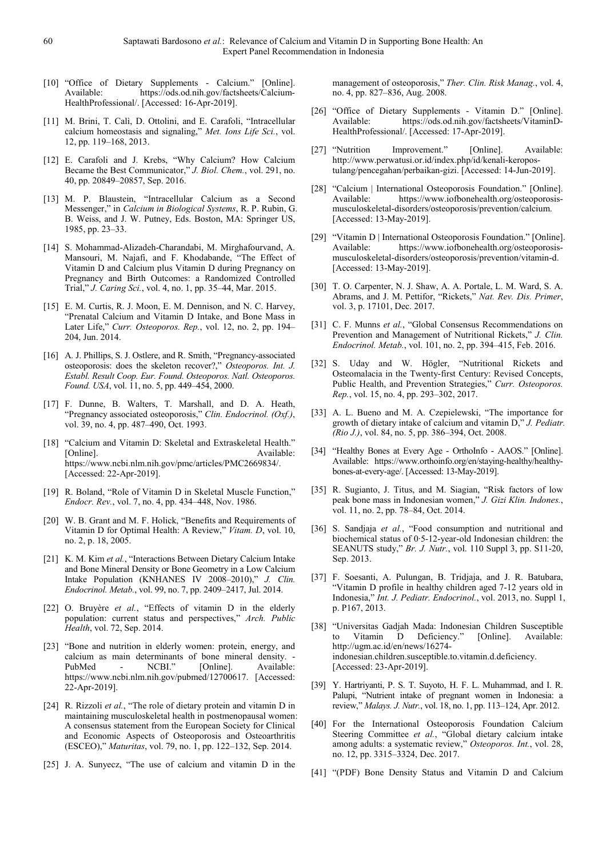- [10] "Office of Dietary Supplements Calcium." [Online]. Available: https://ods.od.nih.gov/factsheets/Calcium-HealthProfessional/. [Accessed: 16-Apr-2019].
- [11] M. Brini, T. Calì, D. Ottolini, and E. Carafoli, "Intracellular calcium homeostasis and signaling," *Met. Ions Life Sci.*, vol. 12, pp. 119–168, 2013.
- [12] E. Carafoli and J. Krebs, "Why Calcium? How Calcium Became the Best Communicator," *J. Biol. Chem.*, vol. 291, no. 40, pp. 20849–20857, Sep. 2016.
- [13] M. P. Blaustein, "Intracellular Calcium as a Second Messenger," in *Calcium in Biological Systems*, R. P. Rubin, G. B. Weiss, and J. W. Putney, Eds. Boston, MA: Springer US, 1985, pp. 23–33.
- [14] S. Mohammad-Alizadeh-Charandabi, M. Mirghafourvand, A. Mansouri, M. Najafi, and F. Khodabande, "The Effect of Vitamin D and Calcium plus Vitamin D during Pregnancy on Pregnancy and Birth Outcomes: a Randomized Controlled Trial," *J. Caring Sci.*, vol. 4, no. 1, pp. 35–44, Mar. 2015.
- [15] E. M. Curtis, R. J. Moon, E. M. Dennison, and N. C. Harvey, "Prenatal Calcium and Vitamin D Intake, and Bone Mass in Later Life," *Curr. Osteoporos. Rep.*, vol. 12, no. 2, pp. 194– 204, Jun. 2014.
- [16] A. J. Phillips, S. J. Ostlere, and R. Smith, "Pregnancy-associated osteoporosis: does the skeleton recover?," *Osteoporos. Int. J. Establ. Result Coop. Eur. Found. Osteoporos. Natl. Osteoporos. Found. USA*, vol. 11, no. 5, pp. 449–454, 2000.
- [17] F. Dunne, B. Walters, T. Marshall, and D. A. Heath, "Pregnancy associated osteoporosis," *Clin. Endocrinol. (Oxf.)*, vol. 39, no. 4, pp. 487–490, Oct. 1993.
- [18] "Calcium and Vitamin D: Skeletal and Extraskeletal Health." [Online]. Available: https://www.ncbi.nlm.nih.gov/pmc/articles/PMC2669834/. [Accessed: 22-Apr-2019].
- [19] R. Boland, "Role of Vitamin D in Skeletal Muscle Function," *Endocr. Rev.*, vol. 7, no. 4, pp. 434–448, Nov. 1986.
- [20] W. B. Grant and M. F. Holick, "Benefits and Requirements of Vitamin D for Optimal Health: A Review," *Vitam. D*, vol. 10, no. 2, p. 18, 2005.
- [21] K. M. Kim *et al.*, "Interactions Between Dietary Calcium Intake and Bone Mineral Density or Bone Geometry in a Low Calcium Intake Population (KNHANES IV 2008–2010)," *J. Clin. Endocrinol. Metab.*, vol. 99, no. 7, pp. 2409–2417, Jul. 2014.
- [22] O. Bruyère *et al.*, "Effects of vitamin D in the elderly population: current status and perspectives," *Arch. Public Health*, vol. 72, Sep. 2014.
- [23] "Bone and nutrition in elderly women: protein, energy, and calcium as main determinants of bone mineral density. -<br>PubMed - NCBI." [Onlinel. Available: PubMed - NCBI." [Online]. Available: https://www.ncbi.nlm.nih.gov/pubmed/12700617. [Accessed: 22-Apr-2019].
- [24] R. Rizzoli *et al.*, "The role of dietary protein and vitamin D in maintaining musculoskeletal health in postmenopausal women: A consensus statement from the European Society for Clinical and Economic Aspects of Osteoporosis and Osteoarthritis (ESCEO)," *Maturitas*, vol. 79, no. 1, pp. 122–132, Sep. 2014.
- [25] J. A. Sunyecz, "The use of calcium and vitamin D in the

management of osteoporosis," *Ther. Clin. Risk Manag.*, vol. 4, no. 4, pp. 827–836, Aug. 2008.

- [26] "Office of Dietary Supplements Vitamin D." [Online]. Available: https://ods.od.nih.gov/factsheets/VitaminD-HealthProfessional/. [Accessed: 17-Apr-2019].
- [27] "Nutrition Improvement." [Online]. Available: http://www.perwatusi.or.id/index.php/id/kenali-keropostulang/pencegahan/perbaikan-gizi. [Accessed: 14-Jun-2019].
- [28] "Calcium | International Osteoporosis Foundation." [Online]. Available: https://www.iofbonehealth.org/osteoporosismusculoskeletal-disorders/osteoporosis/prevention/calcium. [Accessed: 13-May-2019].
- [29] "Vitamin D | International Osteoporosis Foundation." [Online]. Available: https://www.iofbonehealth.org/osteoporosismusculoskeletal-disorders/osteoporosis/prevention/vitamin-d. [Accessed: 13-May-2019].
- [30] T. O. Carpenter, N. J. Shaw, A. A. Portale, L. M. Ward, S. A. Abrams, and J. M. Pettifor, "Rickets," *Nat. Rev. Dis. Primer*, vol. 3, p. 17101, Dec. 2017.
- [31] C. F. Munns et al., "Global Consensus Recommendations on Prevention and Management of Nutritional Rickets," *J. Clin. Endocrinol. Metab.*, vol. 101, no. 2, pp. 394–415, Feb. 2016.
- [32] S. Uday and W. Högler, "Nutritional Rickets and Osteomalacia in the Twenty-first Century: Revised Concepts, Public Health, and Prevention Strategies," *Curr. Osteoporos. Rep.*, vol. 15, no. 4, pp. 293–302, 2017.
- [33] A. L. Bueno and M. A. Czepielewski, "The importance for growth of dietary intake of calcium and vitamin D," *J. Pediatr. (Rio J.)*, vol. 84, no. 5, pp. 386–394, Oct. 2008.
- [34] "Healthy Bones at Every Age OrthoInfo AAOS." [Online]. Available: https://www.orthoinfo.org/en/staying-healthy/healthybones-at-every-age/. [Accessed: 13-May-2019].
- [35] R. Sugianto, J. Titus, and M. Siagian, "Risk factors of low peak bone mass in Indonesian women," *J. Gizi Klin. Indones.*, vol. 11, no. 2, pp. 78–84, Oct. 2014.
- [36] S. Sandjaja *et al.*, "Food consumption and nutritional and biochemical status of 0·5-12-year-old Indonesian children: the SEANUTS study," *Br. J. Nutr.*, vol. 110 Suppl 3, pp. S11-20, Sep. 2013.
- [37] F. Soesanti, A. Pulungan, B. Tridjaja, and J. R. Batubara, "Vitamin D profile in healthy children aged 7-12 years old in Indonesia," *Int. J. Pediatr. Endocrinol.*, vol. 2013, no. Suppl 1, p. P167, 2013.
- [38] "Universitas Gadjah Mada: Indonesian Children Susceptible to Vitamin D Deficiency." [Online]. Available: http://ugm.ac.id/en/news/16274 indonesian.children.susceptible.to.vitamin.d.deficiency. [Accessed: 23-Apr-2019].
- [39] Y. Hartriyanti, P. S. T. Suyoto, H. F. L. Muhammad, and I. R. Palupi, "Nutrient intake of pregnant women in Indonesia: a review," *Malays. J. Nutr.*, vol. 18, no. 1, pp. 113–124, Apr. 2012.
- [40] For the International Osteoporosis Foundation Calcium Steering Committee *et al.*, "Global dietary calcium intake among adults: a systematic review," *Osteoporos. Int.*, vol. 28, no. 12, pp. 3315–3324, Dec. 2017.
- [41] "(PDF) Bone Density Status and Vitamin D and Calcium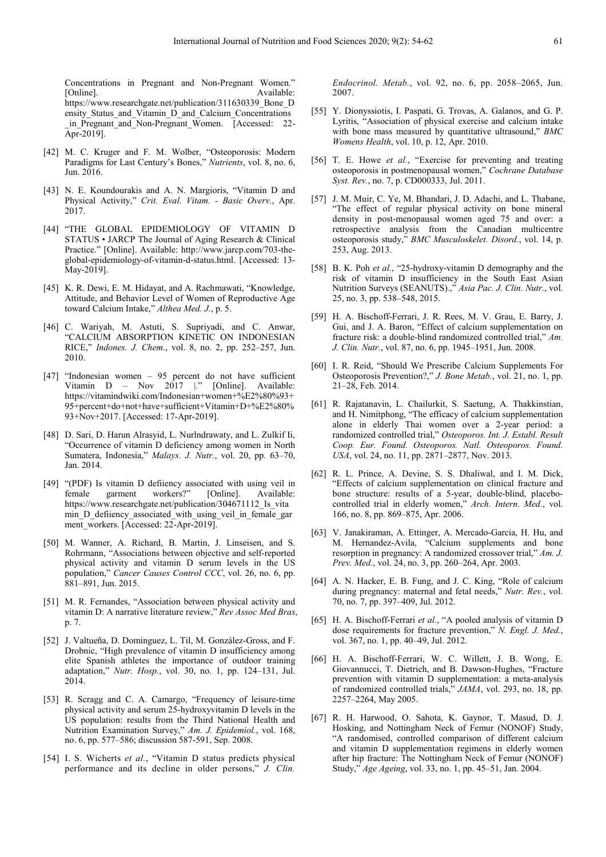Concentrations in Pregnant and Non-Pregnant Women." [Online]. Available: https://www.researchgate.net/publication/311630339\_Bone\_D ensity Status and Vitamin D and Calcium Concentrations in Pregnant and Non-Pregnant Women. [Accessed: 22-Apr-2019].

- [42] M. C. Kruger and F. M. Wolber, "Osteoporosis: Modern Paradigms for Last Century's Bones," *Nutrients*, vol. 8, no. 6, Jun. 2016.
- [43] N. E. Koundourakis and A. N. Margioris, "Vitamin D and Physical Activity," *Crit. Eval. Vitam. - Basic Overv.*, Apr. 2017.
- [44] "THE GLOBAL EPIDEMIOLOGY OF VITAMIN D STATUS • JARCP The Journal of Aging Research & Clinical Practice." [Online]. Available: http://www.jarcp.com/703-theglobal-epidemiology-of-vitamin-d-status.html. [Accessed: 13- May-2019].
- [45] K. R. Dewi, E. M. Hidayat, and A. Rachmawati, "Knowledge, Attitude, and Behavior Level of Women of Reproductive Age toward Calcium Intake," *Althea Med. J.*, p. 5.
- [46] C. Wariyah, M. Astuti, S. Supriyadi, and C. Anwar, "CALCIUM ABSORPTION KINETIC ON INDONESIAN RICE," *Indones. J. Chem.*, vol. 8, no. 2, pp. 252–257, Jun. 2010.
- [47] "Indonesian women 95 percent do not have sufficient Vitamin D – Nov 2017 |." [Online]. Available: https://vitamindwiki.com/Indonesian+women+%E2%80%93+ 95+percent+do+not+have+sufficient+Vitamin+D+%E2%80% 93+Nov+2017. [Accessed: 17-Apr-2019].
- [48] D. Sari, D. Harun Alrasyid, L. Nurlndrawaty, and L. Zulkif Ii, "Occurrence of vitamin D deficiency among women in North Sumatera, Indonesia," *Malays. J. Nutr.*, vol. 20, pp. 63–70, Jan. 2014.
- [49] "(PDF) Is vitamin D defiiency associated with using veil in female garment workers?" [Online]. Available: https://www.researchgate.net/publication/304671112 Is vita min\_D\_defiiency\_associated\_with\_using\_veil\_in\_female\_gar ment\_workers. [Accessed: 22-Apr-2019].
- [50] M. Wanner, A. Richard, B. Martin, J. Linseisen, and S. Rohrmann, "Associations between objective and self-reported physical activity and vitamin D serum levels in the US population," *Cancer Causes Control CCC*, vol. 26, no. 6, pp. 881–891, Jun. 2015.
- [51] M. R. Fernandes, "Association between physical activity and vitamin D: A narrative literature review," *Rev Assoc Med Bras*, p. 7.
- [52] J. Valtueña, D. Dominguez, L. Til, M. González-Gross, and F. Drobnic, "High prevalence of vitamin D insufficiency among elite Spanish athletes the importance of outdoor training adaptation," *Nutr. Hosp.*, vol. 30, no. 1, pp. 124–131, Jul. 2014.
- [53] R. Scragg and C. A. Camargo, "Frequency of leisure-time physical activity and serum 25-hydroxyvitamin D levels in the US population: results from the Third National Health and Nutrition Examination Survey," *Am. J. Epidemiol.*, vol. 168, no. 6, pp. 577–586; discussion 587-591, Sep. 2008.
- [54] I. S. Wicherts *et al.*, "Vitamin D status predicts physical performance and its decline in older persons," *J. Clin.*

*Endocrinol. Metab.*, vol. 92, no. 6, pp. 2058–2065, Jun. 2007.

- [55] Y. Dionyssiotis, I. Paspati, G. Trovas, A. Galanos, and G. P. Lyritis, "Association of physical exercise and calcium intake with bone mass measured by quantitative ultrasound," *BMC Womens Health*, vol. 10, p. 12, Apr. 2010.
- [56] T. E. Howe *et al.*, "Exercise for preventing and treating osteoporosis in postmenopausal women," *Cochrane Database Syst. Rev.*, no. 7, p. CD000333, Jul. 2011.
- [57] J. M. Muir, C. Ye, M. Bhandari, J. D. Adachi, and L. Thabane, "The effect of regular physical activity on bone mineral density in post-menopausal women aged 75 and over: a retrospective analysis from the Canadian multicentre osteoporosis study," *BMC Musculoskelet. Disord.*, vol. 14, p. 253, Aug. 2013.
- [58] B. K. Poh *et al.*, "25-hydroxy-vitamin D demography and the risk of vitamin D insufficiency in the South East Asian Nutrition Surveys (SEANUTS).," *Asia Pac. J. Clin. Nutr.*, vol. 25, no. 3, pp. 538–548, 2015.
- [59] H. A. Bischoff-Ferrari, J. R. Rees, M. V. Grau, E. Barry, J. Gui, and J. A. Baron, "Effect of calcium supplementation on fracture risk: a double-blind randomized controlled trial," *Am. J. Clin. Nutr.*, vol. 87, no. 6, pp. 1945–1951, Jun. 2008.
- [60] I. R. Reid, "Should We Prescribe Calcium Supplements For Osteoporosis Prevention?," *J. Bone Metab.*, vol. 21, no. 1, pp. 21–28, Feb. 2014.
- [61] R. Rajatanavin, L. Chailurkit, S. Saetung, A. Thakkinstian, and H. Nimitphong, "The efficacy of calcium supplementation alone in elderly Thai women over a 2-year period: a randomized controlled trial," *Osteoporos. Int. J. Establ. Result Coop. Eur. Found. Osteoporos. Natl. Osteoporos. Found. USA*, vol. 24, no. 11, pp. 2871–2877, Nov. 2013.
- [62] R. L. Prince, A. Devine, S. S. Dhaliwal, and I. M. Dick, "Effects of calcium supplementation on clinical fracture and bone structure: results of a 5-year, double-blind, placebocontrolled trial in elderly women," *Arch. Intern. Med.*, vol. 166, no. 8, pp. 869–875, Apr. 2006.
- [63] V. Janakiraman, A. Ettinger, A. Mercado-Garcia, H. Hu, and M. Hernandez-Avila, "Calcium supplements and bone resorption in pregnancy: A randomized crossover trial," *Am. J. Prev. Med.*, vol. 24, no. 3, pp. 260–264, Apr. 2003.
- [64] A. N. Hacker, E. B. Fung, and J. C. King, "Role of calcium during pregnancy: maternal and fetal needs," *Nutr. Rev.*, vol. 70, no. 7, pp. 397–409, Jul. 2012.
- [65] H. A. Bischoff-Ferrari *et al.*, "A pooled analysis of vitamin D dose requirements for fracture prevention," *N. Engl. J. Med.*, vol. 367, no. 1, pp. 40–49, Jul. 2012.
- [66] H. A. Bischoff-Ferrari, W. C. Willett, J. B. Wong, E. Giovannucci, T. Dietrich, and B. Dawson-Hughes, "Fracture prevention with vitamin D supplementation: a meta-analysis of randomized controlled trials," *JAMA*, vol. 293, no. 18, pp. 2257–2264, May 2005.
- [67] R. H. Harwood, O. Sahota, K. Gaynor, T. Masud, D. J. Hosking, and Nottingham Neck of Femur (NONOF) Study, "A randomised, controlled comparison of different calcium and vitamin D supplementation regimens in elderly women after hip fracture: The Nottingham Neck of Femur (NONOF) Study," *Age Ageing*, vol. 33, no. 1, pp. 45–51, Jan. 2004.